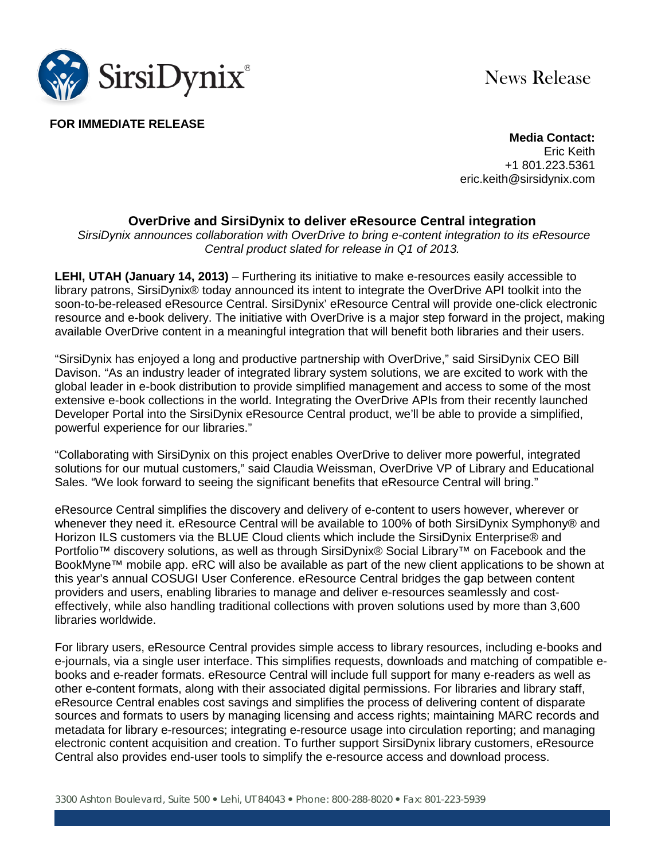

News Release

**FOR IMMEDIATE RELEASE**

**Media Contact:** Eric Keith +1 801.223.5361 eric.keith@sirsidynix.com

## **OverDrive and SirsiDynix to deliver eResource Central integration**

*SirsiDynix announces collaboration with OverDrive to bring e-content integration to its eResource Central product slated for release in Q1 of 2013.*

**LEHI, UTAH (January 14, 2013)** – Furthering its initiative to make e-resources easily accessible to library patrons, SirsiDynix® today announced its intent to integrate the OverDrive API toolkit into the soon-to-be-released eResource Central. SirsiDynix' eResource Central will provide one-click electronic resource and e-book delivery. The initiative with OverDrive is a major step forward in the project, making available OverDrive content in a meaningful integration that will benefit both libraries and their users.

"SirsiDynix has enjoyed a long and productive partnership with OverDrive," said SirsiDynix CEO Bill Davison. "As an industry leader of integrated library system solutions, we are excited to work with the global leader in e-book distribution to provide simplified management and access to some of the most extensive e-book collections in the world. Integrating the OverDrive APIs from their recently launched Developer Portal into the SirsiDynix eResource Central product, we'll be able to provide a simplified, powerful experience for our libraries."

"Collaborating with SirsiDynix on this project enables OverDrive to deliver more powerful, integrated solutions for our mutual customers," said Claudia Weissman, OverDrive VP of Library and Educational Sales. "We look forward to seeing the significant benefits that eResource Central will bring."

eResource Central simplifies the discovery and delivery of e-content to users however, wherever or whenever they need it. eResource Central will be available to 100% of both SirsiDynix Symphony® and Horizon ILS customers via the BLUE Cloud clients which include the SirsiDynix Enterprise® and Portfolio<sup>™</sup> discovery solutions, as well as through SirsiDynix® Social Library<sup>™</sup> on Facebook and the BookMyne™ mobile app. eRC will also be available as part of the new client applications to be shown at this year's annual COSUGI User Conference. eResource Central bridges the gap between content providers and users, enabling libraries to manage and deliver e-resources seamlessly and costeffectively, while also handling traditional collections with proven solutions used by more than 3,600 libraries worldwide.

For library users, eResource Central provides simple access to library resources, including e-books and e-journals, via a single user interface. This simplifies requests, downloads and matching of compatible ebooks and e-reader formats. eResource Central will include full support for many e-readers as well as other e-content formats, along with their associated digital permissions. For libraries and library staff, eResource Central enables cost savings and simplifies the process of delivering content of disparate sources and formats to users by managing licensing and access rights; maintaining MARC records and metadata for library e-resources; integrating e-resource usage into circulation reporting; and managing electronic content acquisition and creation. To further support SirsiDynix library customers, eResource Central also provides end-user tools to simplify the e-resource access and download process.

3300 Ashton Boulevard, Suite 500 Lehi, UT 84043 Phone: 800-288-8020 Fax: 801-223-5939